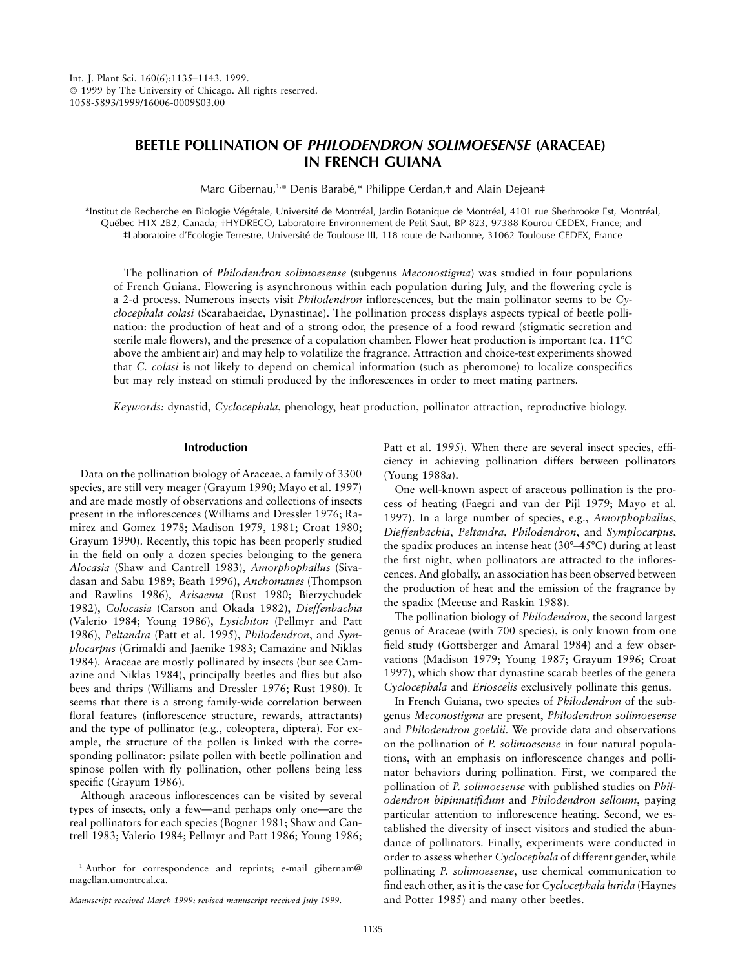# **BEETLE POLLINATION OF** *PHILODENDRON SOLIMOESENSE* **(ARACEAE) IN FRENCH GUIANA**

Marc Gibernau,<sup>1,\*</sup> Denis Barabé,\* Philippe Cerdan,† and Alain Dejean‡

\*Institut de Recherche en Biologie Végétale, Université de Montréal, Jardin Botanique de Montréal, 4101 rue Sherbrooke Est, Montréal, Québec H1X 2B2, Canada; †HYDRECO, Laboratoire Environnement de Petit Saut, BP 823, 97388 Kourou CEDEX, France; and ‡Laboratoire d'Ecologie Terrestre, Universite´ de Toulouse III, 118 route de Narbonne, 31062 Toulouse CEDEX, France

The pollination of *Philodendron solimoesense* (subgenus *Meconostigma*) was studied in four populations of French Guiana. Flowering is asynchronous within each population during July, and the flowering cycle is a 2-d process. Numerous insects visit *Philodendron* inflorescences, but the main pollinator seems to be *Cyclocephala colasi* (Scarabaeidae, Dynastinae). The pollination process displays aspects typical of beetle pollination: the production of heat and of a strong odor, the presence of a food reward (stigmatic secretion and sterile male flowers), and the presence of a copulation chamber. Flower heat production is important (ca. 117C above the ambient air) and may help to volatilize the fragrance. Attraction and choice-test experiments showed that *C. colasi* is not likely to depend on chemical information (such as pheromone) to localize conspecifics but may rely instead on stimuli produced by the inflorescences in order to meet mating partners.

*Keywords:* dynastid, *Cyclocephala*, phenology, heat production, pollinator attraction, reproductive biology.

#### **Introduction**

Data on the pollination biology of Araceae, a family of 3300 species, are still very meager (Grayum 1990; Mayo et al. 1997) and are made mostly of observations and collections of insects present in the inflorescences (Williams and Dressler 1976; Ramirez and Gomez 1978; Madison 1979, 1981; Croat 1980; Grayum 1990). Recently, this topic has been properly studied in the field on only a dozen species belonging to the genera *Alocasia* (Shaw and Cantrell 1983), *Amorphophallus* (Sivadasan and Sabu 1989; Beath 1996), *Anchomanes* (Thompson and Rawlins 1986), *Arisaema* (Rust 1980; Bierzychudek 1982), *Colocasia* (Carson and Okada 1982), *Dieffenbachia* (Valerio 1984; Young 1986), *Lysichiton* (Pellmyr and Patt 1986), *Peltandra* (Patt et al. 1995), *Philodendron*, and *Symplocarpus* (Grimaldi and Jaenike 1983; Camazine and Niklas 1984). Araceae are mostly pollinated by insects (but see Camazine and Niklas 1984), principally beetles and flies but also bees and thrips (Williams and Dressler 1976; Rust 1980). It seems that there is a strong family-wide correlation between floral features (inflorescence structure, rewards, attractants) and the type of pollinator (e.g., coleoptera, diptera). For example, the structure of the pollen is linked with the corresponding pollinator: psilate pollen with beetle pollination and spinose pollen with fly pollination, other pollens being less specific (Grayum 1986).

Although araceous inflorescences can be visited by several types of insects, only a few—and perhaps only one—are the real pollinators for each species (Bogner 1981; Shaw and Cantrell 1983; Valerio 1984; Pellmyr and Patt 1986; Young 1986; Patt et al. 1995). When there are several insect species, efficiency in achieving pollination differs between pollinators (Young 1988*a*).

One well-known aspect of araceous pollination is the process of heating (Faegri and van der Pijl 1979; Mayo et al. 1997). In a large number of species, e.g., *Amorphophallus*, *Dieffenbachia*, *Peltandra*, *Philodendron*, and *Symplocarpus*, the spadix produces an intense heat  $(30^{\circ}-45^{\circ}C)$  during at least the first night, when pollinators are attracted to the inflorescences. And globally, an association has been observed between the production of heat and the emission of the fragrance by the spadix (Meeuse and Raskin 1988).

The pollination biology of *Philodendron*, the second largest genus of Araceae (with 700 species), is only known from one field study (Gottsberger and Amaral 1984) and a few observations (Madison 1979; Young 1987; Grayum 1996; Croat 1997), which show that dynastine scarab beetles of the genera *Cyclocephala* and *Erioscelis* exclusively pollinate this genus.

In French Guiana, two species of *Philodendron* of the subgenus *Meconostigma* are present, *Philodendron solimoesense* and *Philodendron goeldii*. We provide data and observations on the pollination of *P. solimoesense* in four natural populations, with an emphasis on inflorescence changes and pollinator behaviors during pollination. First, we compared the pollination of *P. solimoesense* with published studies on *Philodendron bipinnatifidum* and *Philodendron selloum*, paying particular attention to inflorescence heating. Second, we established the diversity of insect visitors and studied the abundance of pollinators. Finally, experiments were conducted in order to assess whether *Cyclocephala* of different gender, while pollinating *P. solimoesense*, use chemical communication to find each other, as it is the case for *Cyclocephala lurida* (Haynes and Potter 1985) and many other beetles.

<sup>&</sup>lt;sup>1</sup> Author for correspondence and reprints; e-mail gibernam@ magellan.umontreal.ca.

*Manuscript received March 1999; revised manuscript received July 1999.*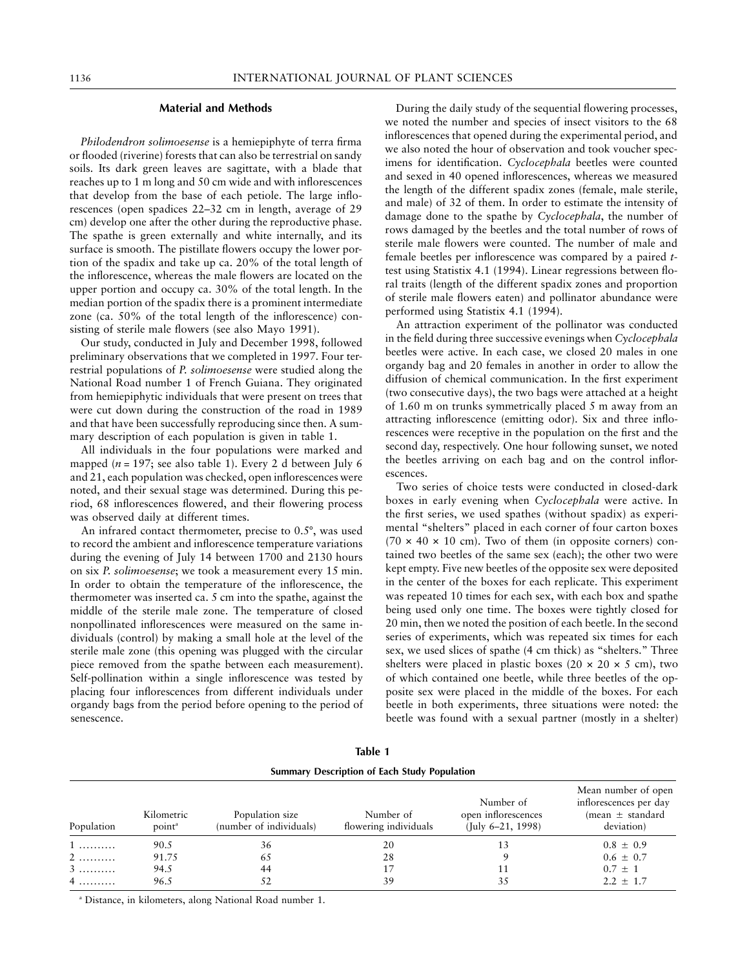## **Material and Methods**

*Philodendron solimoesense* is a hemiepiphyte of terra firma or flooded (riverine) forests that can also be terrestrial on sandy soils. Its dark green leaves are sagittate, with a blade that reaches up to 1 m long and 50 cm wide and with inflorescences that develop from the base of each petiole. The large inflorescences (open spadices 22–32 cm in length, average of 29 cm) develop one after the other during the reproductive phase. The spathe is green externally and white internally, and its surface is smooth. The pistillate flowers occupy the lower portion of the spadix and take up ca. 20% of the total length of the inflorescence, whereas the male flowers are located on the upper portion and occupy ca. 30% of the total length. In the median portion of the spadix there is a prominent intermediate zone (ca. 50% of the total length of the inflorescence) consisting of sterile male flowers (see also Mayo 1991).

Our study, conducted in July and December 1998, followed preliminary observations that we completed in 1997. Four terrestrial populations of *P. solimoesense* were studied along the National Road number 1 of French Guiana. They originated from hemiepiphytic individuals that were present on trees that were cut down during the construction of the road in 1989 and that have been successfully reproducing since then. A summary description of each population is given in table 1.

All individuals in the four populations were marked and mapped ( $n = 197$ ; see also table 1). Every 2 d between July 6 and 21, each population was checked, open inflorescences were noted, and their sexual stage was determined. During this period, 68 inflorescences flowered, and their flowering process was observed daily at different times.

An infrared contact thermometer, precise to  $0.5^{\circ}$ , was used to record the ambient and inflorescence temperature variations during the evening of July 14 between 1700 and 2130 hours on six *P. solimoesense*; we took a measurement every 15 min. In order to obtain the temperature of the inflorescence, the thermometer was inserted ca. 5 cm into the spathe, against the middle of the sterile male zone. The temperature of closed nonpollinated inflorescences were measured on the same individuals (control) by making a small hole at the level of the sterile male zone (this opening was plugged with the circular piece removed from the spathe between each measurement). Self-pollination within a single inflorescence was tested by placing four inflorescences from different individuals under organdy bags from the period before opening to the period of senescence.

During the daily study of the sequential flowering processes, we noted the number and species of insect visitors to the 68 inflorescences that opened during the experimental period, and we also noted the hour of observation and took voucher specimens for identification. *Cyclocephala* beetles were counted and sexed in 40 opened inflorescences, whereas we measured the length of the different spadix zones (female, male sterile, and male) of 32 of them. In order to estimate the intensity of damage done to the spathe by *Cyclocephala*, the number of rows damaged by the beetles and the total number of rows of sterile male flowers were counted. The number of male and female beetles per inflorescence was compared by a paired *t*test using Statistix 4.1 (1994). Linear regressions between floral traits (length of the different spadix zones and proportion of sterile male flowers eaten) and pollinator abundance were performed using Statistix 4.1 (1994).

An attraction experiment of the pollinator was conducted in the field during three successive evenings when *Cyclocephala* beetles were active. In each case, we closed 20 males in one organdy bag and 20 females in another in order to allow the diffusion of chemical communication. In the first experiment (two consecutive days), the two bags were attached at a height of 1.60 m on trunks symmetrically placed 5 m away from an attracting inflorescence (emitting odor). Six and three inflorescences were receptive in the population on the first and the second day, respectively. One hour following sunset, we noted the beetles arriving on each bag and on the control inflorescences.

Two series of choice tests were conducted in closed-dark boxes in early evening when *Cyclocephala* were active. In the first series, we used spathes (without spadix) as experimental "shelters" placed in each corner of four carton boxes (70  $\times$  40  $\times$  10 cm). Two of them (in opposite corners) contained two beetles of the same sex (each); the other two were kept empty. Five new beetles of the opposite sex were deposited in the center of the boxes for each replicate. This experiment was repeated 10 times for each sex, with each box and spathe being used only one time. The boxes were tightly closed for 20 min, then we noted the position of each beetle. In the second series of experiments, which was repeated six times for each sex, we used slices of spathe (4 cm thick) as "shelters." Three shelters were placed in plastic boxes (20  $\times$  20  $\times$  5 cm), two of which contained one beetle, while three beetles of the opposite sex were placed in the middle of the boxes. For each beetle in both experiments, three situations were noted: the beetle was found with a sexual partner (mostly in a shelter)

| <b>Summary Description of Each Study Population</b> |                                  |                                            |                                    |                                                         |                                                                                     |  |  |  |
|-----------------------------------------------------|----------------------------------|--------------------------------------------|------------------------------------|---------------------------------------------------------|-------------------------------------------------------------------------------------|--|--|--|
| Population                                          | Kilometric<br>point <sup>a</sup> | Population size<br>(number of individuals) | Number of<br>flowering individuals | Number of<br>open inflorescences<br>$(Iuly 6-21, 1998)$ | Mean number of open<br>inflorescences per day<br>(mean $\pm$ standard<br>deviation) |  |  |  |
| 1                                                   | 90.5                             | 36                                         | 20                                 | 13                                                      | $0.8 \pm 0.9$                                                                       |  |  |  |
| 2                                                   | 91.75                            | 65                                         | 28                                 |                                                         | $0.6 \pm 0.7$                                                                       |  |  |  |
| 3                                                   | 94.5                             | 44                                         |                                    |                                                         | $0.7 \pm 1$                                                                         |  |  |  |
| 4                                                   | 96.5                             | 52                                         | 39                                 | 35                                                      | $2.2 \pm 1.7$                                                                       |  |  |  |

**Table 1**

<sup>a</sup> Distance, in kilometers, along National Road number 1.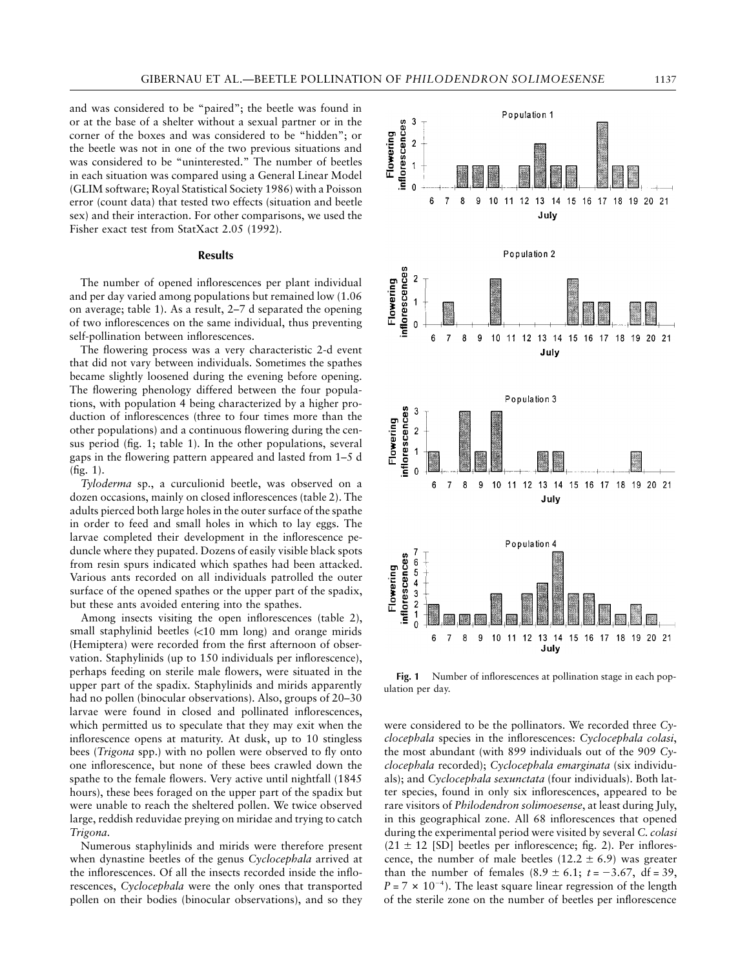and was considered to be "paired"; the beetle was found in or at the base of a shelter without a sexual partner or in the corner of the boxes and was considered to be "hidden"; or the beetle was not in one of the two previous situations and was considered to be "uninterested." The number of beetles in each situation was compared using a General Linear Model (GLIM software; Royal Statistical Society 1986) with a Poisson error (count data) that tested two effects (situation and beetle sex) and their interaction. For other comparisons, we used the Fisher exact test from StatXact 2.05 (1992).

#### **Results**

The number of opened inflorescences per plant individual and per day varied among populations but remained low (1.06 on average; table 1). As a result, 2–7 d separated the opening of two inflorescences on the same individual, thus preventing self-pollination between inflorescences.

The flowering process was a very characteristic 2-d event that did not vary between individuals. Sometimes the spathes became slightly loosened during the evening before opening. The flowering phenology differed between the four populations, with population 4 being characterized by a higher production of inflorescences (three to four times more than the other populations) and a continuous flowering during the census period (fig. 1; table 1). In the other populations, several gaps in the flowering pattern appeared and lasted from 1–5 d (fig. 1).

*Tyloderma* sp., a curculionid beetle, was observed on a dozen occasions, mainly on closed inflorescences (table 2). The adults pierced both large holes in the outer surface of the spathe in order to feed and small holes in which to lay eggs. The larvae completed their development in the inflorescence peduncle where they pupated. Dozens of easily visible black spots from resin spurs indicated which spathes had been attacked. Various ants recorded on all individuals patrolled the outer surface of the opened spathes or the upper part of the spadix, but these ants avoided entering into the spathes.

Among insects visiting the open inflorescences (table 2), small staphylinid beetles  $\ll 10$  mm long) and orange mirids (Hemiptera) were recorded from the first afternoon of observation. Staphylinids (up to 150 individuals per inflorescence), perhaps feeding on sterile male flowers, were situated in the upper part of the spadix. Staphylinids and mirids apparently had no pollen (binocular observations). Also, groups of 20–30 larvae were found in closed and pollinated inflorescences, which permitted us to speculate that they may exit when the inflorescence opens at maturity. At dusk, up to 10 stingless bees (*Trigona* spp.) with no pollen were observed to fly onto one inflorescence, but none of these bees crawled down the spathe to the female flowers. Very active until nightfall (1845 hours), these bees foraged on the upper part of the spadix but were unable to reach the sheltered pollen. We twice observed large, reddish reduvidae preying on miridae and trying to catch *Trigona*.

Numerous staphylinids and mirids were therefore present when dynastine beetles of the genus *Cyclocephala* arrived at the inflorescences. Of all the insects recorded inside the inflorescences, *Cyclocephala* were the only ones that transported pollen on their bodies (binocular observations), and so they



**Fig. 1** Number of inflorescences at pollination stage in each population per day.

were considered to be the pollinators. We recorded three *Cyclocephala* species in the inflorescences: *Cyclocephala colasi*, the most abundant (with 899 individuals out of the 909 *Cyclocephala* recorded); *Cyclocephala emarginata* (six individuals); and *Cyclocephala sexunctata* (four individuals). Both latter species, found in only six inflorescences, appeared to be rare visitors of *Philodendron solimoesense*, at least during July, in this geographical zone. All 68 inflorescences that opened during the experimental period were visited by several *C. colasi*  $(21 \pm 12 \text{ [SD]}$  beetles per inflorescence; fig. 2). Per inflorescence, the number of male beetles  $(12.2 \pm 6.9)$  was greater than the number of females  $(8.9 \pm 6.1; t = -3.67, df = 39,$  $P = 7 \times 10^{-4}$ ). The least square linear regression of the length of the sterile zone on the number of beetles per inflorescence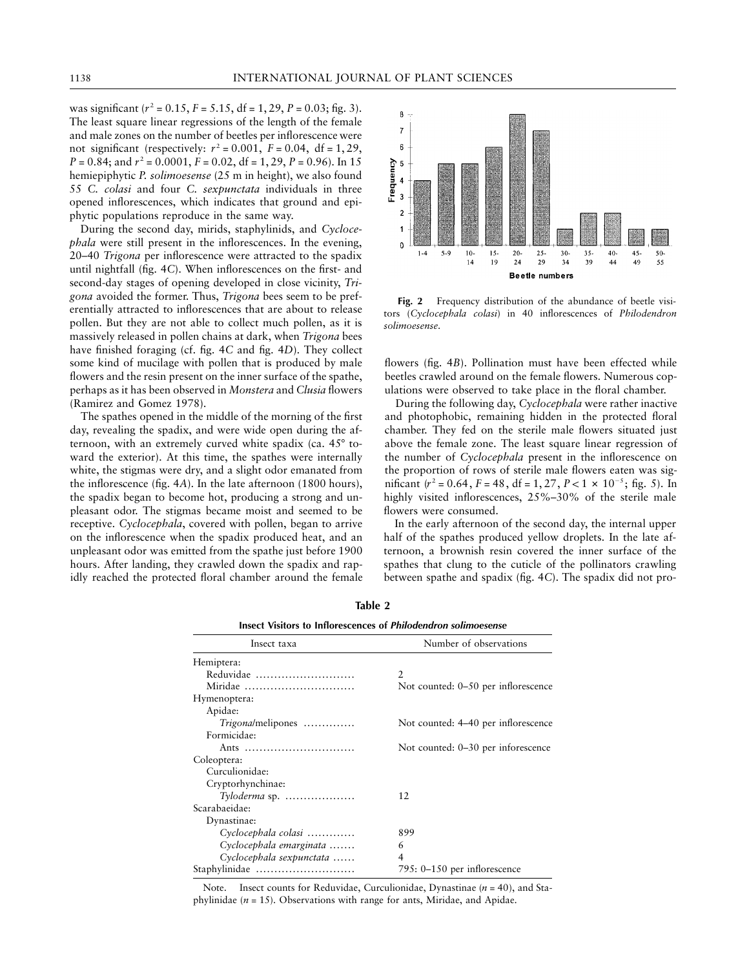was significant ( $r^2$  = 0.15,  $F = 5.15$ , df = 1, 29,  $P = 0.03$ ; fig. 3). The least square linear regressions of the length of the female and male zones on the number of beetles per inflorescence were not significant (respectively:  $r^2 = 0.001$ ,  $F = 0.04$ , df = 1, 29,  $P = 0.84$ ; and  $r^2 = 0.0001$ ,  $F = 0.02$ , df = 1, 29,  $P = 0.96$ ). In 15 hemiepiphytic *P. solimoesense* (25 m in height), we also found 55 *C. colasi* and four *C. sexpunctata* individuals in three opened inflorescences, which indicates that ground and epiphytic populations reproduce in the same way.

During the second day, mirids, staphylinids, and *Cyclocephala* were still present in the inflorescences. In the evening, 20–40 *Trigona* per inflorescence were attracted to the spadix until nightfall (fig. 4*C*). When inflorescences on the first- and second-day stages of opening developed in close vicinity, *Trigona* avoided the former. Thus, *Trigona* bees seem to be preferentially attracted to inflorescences that are about to release pollen. But they are not able to collect much pollen, as it is massively released in pollen chains at dark, when *Trigona* bees have finished foraging (cf. fig. 4*C* and fig. 4*D*). They collect some kind of mucilage with pollen that is produced by male flowers and the resin present on the inner surface of the spathe, perhaps as it has been observed in *Monstera* and *Clusia* flowers (Ramirez and Gomez 1978).

The spathes opened in the middle of the morning of the first day, revealing the spadix, and were wide open during the afternoon, with an extremely curved white spadix (ca.  $45^\circ$  toward the exterior). At this time, the spathes were internally white, the stigmas were dry, and a slight odor emanated from the inflorescence (fig. 4*A*). In the late afternoon (1800 hours), the spadix began to become hot, producing a strong and unpleasant odor. The stigmas became moist and seemed to be receptive. *Cyclocephala*, covered with pollen, began to arrive on the inflorescence when the spadix produced heat, and an unpleasant odor was emitted from the spathe just before 1900 hours. After landing, they crawled down the spadix and rapidly reached the protected floral chamber around the female



**Fig. 2** Frequency distribution of the abundance of beetle visitors (*Cyclocephala colasi*) in 40 inflorescences of *Philodendron solimoesense*.

flowers (fig. 4*B*). Pollination must have been effected while beetles crawled around on the female flowers. Numerous copulations were observed to take place in the floral chamber.

During the following day, *Cyclocephala* were rather inactive and photophobic, remaining hidden in the protected floral chamber. They fed on the sterile male flowers situated just above the female zone. The least square linear regression of the number of *Cyclocephala* present in the inflorescence on the proportion of rows of sterile male flowers eaten was significant  $(r^2 = 0.64, F = 48, df = 1, 27, P < 1 \times 10^{-5}$ ; fig. 5). In highly visited inflorescences, 25%–30% of the sterile male flowers were consumed.

In the early afternoon of the second day, the internal upper half of the spathes produced yellow droplets. In the late afternoon, a brownish resin covered the inner surface of the spathes that clung to the cuticle of the pollinators crawling between spathe and spadix (fig. 4*C*). The spadix did not pro-

| Insect Visitors to Inflorescences of <i>Philodendron solimoesense</i> |                                     |  |  |  |  |
|-----------------------------------------------------------------------|-------------------------------------|--|--|--|--|
| Insect taxa                                                           | Number of observations              |  |  |  |  |
| Hemiptera:                                                            |                                     |  |  |  |  |
| Reduvidae                                                             | $\overline{2}$                      |  |  |  |  |
| Miridae                                                               | Not counted: 0–50 per inflorescence |  |  |  |  |
| Hymenoptera:                                                          |                                     |  |  |  |  |
| Apidae:                                                               |                                     |  |  |  |  |
| Trigonalmelipones                                                     | Not counted: 4–40 per inflorescence |  |  |  |  |
| Formicidae:                                                           |                                     |  |  |  |  |
| Ants                                                                  | Not counted: 0–30 per inforescence  |  |  |  |  |
| Coleoptera:                                                           |                                     |  |  |  |  |
| Curculionidae:                                                        |                                     |  |  |  |  |
| Cryptorhynchinae:                                                     |                                     |  |  |  |  |
| $Tyloderma$ sp.                                                       | 12                                  |  |  |  |  |
| Scarabaeidae:                                                         |                                     |  |  |  |  |
| Dynastinae:                                                           |                                     |  |  |  |  |
| $Cyclocephala colasi$                                                 | 899                                 |  |  |  |  |
| Cyclocephala emarginata                                               | 6                                   |  |  |  |  |
| $Cyclocephala$ sexpunctata                                            | 4                                   |  |  |  |  |
| Staphylinidae                                                         | $795: 0-150$ per inflorescence      |  |  |  |  |

**Table 2**

Note. Insect counts for Reduvidae, Curculionidae, Dynastinae (*n =* 40), and Staphylinidae (*n =* 15). Observations with range for ants, Miridae, and Apidae.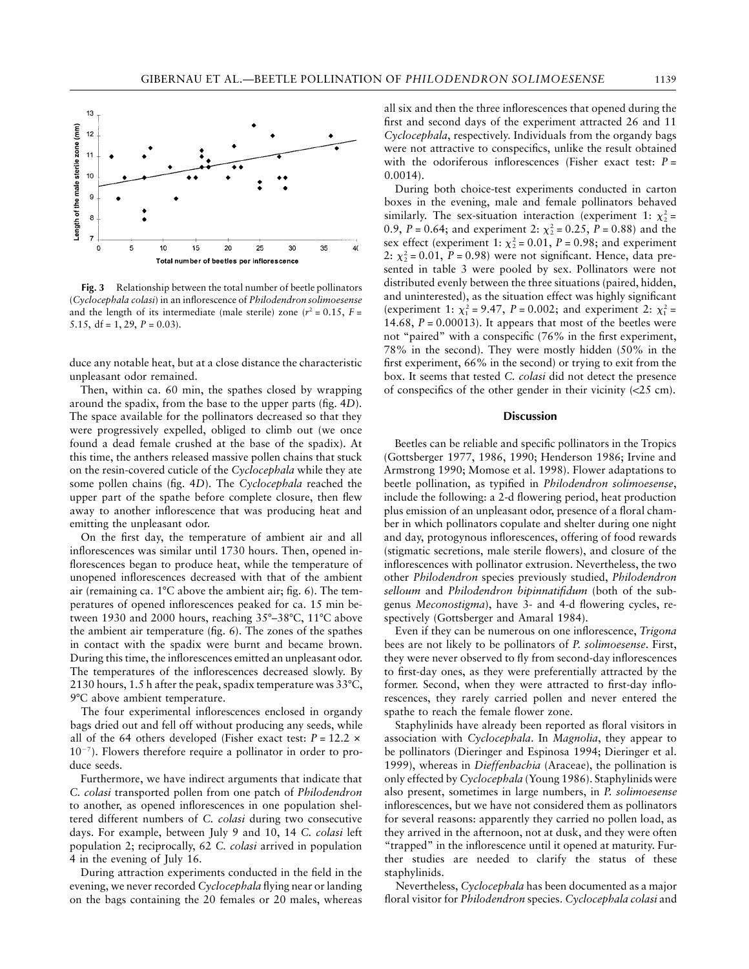

**Fig. 3** Relationship between the total number of beetle pollinators (*Cyclocephala colasi*) in an inflorescence of *Philodendron solimoesense* and the length of its intermediate (male sterile) zone ( $r^2 = 0.15$ ,  $F =$ 5.15,  $df = 1$ , 29,  $P = 0.03$ ).

duce any notable heat, but at a close distance the characteristic unpleasant odor remained.

Then, within ca. 60 min, the spathes closed by wrapping around the spadix, from the base to the upper parts (fig. 4*D*). The space available for the pollinators decreased so that they were progressively expelled, obliged to climb out (we once found a dead female crushed at the base of the spadix). At this time, the anthers released massive pollen chains that stuck on the resin-covered cuticle of the *Cyclocephala* while they ate some pollen chains (fig. 4*D*). The *Cyclocephala* reached the upper part of the spathe before complete closure, then flew away to another inflorescence that was producing heat and emitting the unpleasant odor.

On the first day, the temperature of ambient air and all inflorescences was similar until 1730 hours. Then, opened inflorescences began to produce heat, while the temperature of unopened inflorescences decreased with that of the ambient air (remaining ca.  $1^{\circ}$ C above the ambient air; fig. 6). The temperatures of opened inflorescences peaked for ca. 15 min between 1930 and 2000 hours, reaching 35°-38°C, 11°C above the ambient air temperature (fig. 6). The zones of the spathes in contact with the spadix were burnt and became brown. During this time, the inflorescences emitted an unpleasant odor. The temperatures of the inflorescences decreased slowly. By 2130 hours, 1.5 h after the peak, spadix temperature was  $33^{\circ}$ C, 9°C above ambient temperature.

The four experimental inflorescences enclosed in organdy bags dried out and fell off without producing any seeds, while all of the 64 others developed (Fisher exact test:  $P = 12.2 \times$  $10^{-7}$ ). Flowers therefore require a pollinator in order to produce seeds.

Furthermore, we have indirect arguments that indicate that *C. colasi* transported pollen from one patch of *Philodendron* to another, as opened inflorescences in one population sheltered different numbers of *C. colasi* during two consecutive days. For example, between July 9 and 10, 14 *C. colasi* left population 2; reciprocally, 62 *C. colasi* arrived in population 4 in the evening of July 16.

During attraction experiments conducted in the field in the evening, we never recorded *Cyclocephala* flying near orlanding on the bags containing the 20 females or 20 males, whereas all six and then the three inflorescences that opened during the first and second days of the experiment attracted 26 and 11 *Cyclocephala*, respectively. Individuals from the organdy bags were not attractive to conspecifics, unlike the result obtained with the odoriferous inflorescences (Fisher exact test: *P =* 0.0014).

During both choice-test experiments conducted in carton boxes in the evening, male and female pollinators behaved similarly. The sex-situation interaction (experiment 1:  $\chi^2$  = 0.9,  $P = 0.64$ ; and experiment 2:  $\chi^2 = 0.25$ ,  $P = 0.88$ ) and the sex effect (experiment 1:  $\chi^2 = 0.01$ ,  $P = 0.98$ ; and experiment 2:  $\chi^2$  = 0.01, *P* = 0.98) were not significant. Hence, data presented in table 3 were pooled by sex. Pollinators were not distributed evenly between the three situations (paired, hidden, and uninterested), as the situation effect was highly significant (experiment 1:  $\chi_1^2 = 9.47$ ,  $P = 0.002$ ; and experiment 2:  $\chi_1^2 =$ 14.68,  $P = 0.00013$ ). It appears that most of the beetles were not "paired" with a conspecific (76% in the first experiment, 78% in the second). They were mostly hidden (50% in the first experiment, 66% in the second) or trying to exit from the box. It seems that tested *C. colasi* did not detect the presence of conspecifics of the other gender in their vicinity  $\langle$ <25 cm).

## **Discussion**

Beetles can be reliable and specific pollinators in the Tropics (Gottsberger 1977, 1986, 1990; Henderson 1986; Irvine and Armstrong 1990; Momose et al. 1998). Flower adaptations to beetle pollination, as typified in *Philodendron solimoesense*, include the following: a 2-d flowering period, heat production plus emission of an unpleasant odor, presence of a floral chamber in which pollinators copulate and shelter during one night and day, protogynous inflorescences, offering of food rewards (stigmatic secretions, male sterile flowers), and closure of the inflorescences with pollinator extrusion. Nevertheless, the two other *Philodendron* species previously studied, *Philodendron selloum* and *Philodendron bipinnatifidum* (both of the subgenus *Meconostigma*), have 3- and 4-d flowering cycles, respectively (Gottsberger and Amaral 1984).

Even if they can be numerous on one inflorescence, *Trigona* bees are not likely to be pollinators of *P. solimoesense*. First, they were never observed to fly from second-day inflorescences to first-day ones, as they were preferentially attracted by the former. Second, when they were attracted to first-day inflorescences, they rarely carried pollen and never entered the spathe to reach the female flower zone.

Staphylinids have already been reported as floral visitors in association with *Cyclocephala*. In *Magnolia*, they appear to be pollinators (Dieringer and Espinosa 1994; Dieringer et al. 1999), whereas in *Dieffenbachia* (Araceae), the pollination is only effected by *Cyclocephala* (Young 1986). Staphylinids were also present, sometimes in large numbers, in *P. solimoesense* inflorescences, but we have not considered them as pollinators for several reasons: apparently they carried no pollen load, as they arrived in the afternoon, not at dusk, and they were often "trapped" in the inflorescence until it opened at maturity. Further studies are needed to clarify the status of these staphylinids.

Nevertheless, *Cyclocephala* has been documented as a major floral visitor for *Philodendron* species. *Cyclocephala colasi* and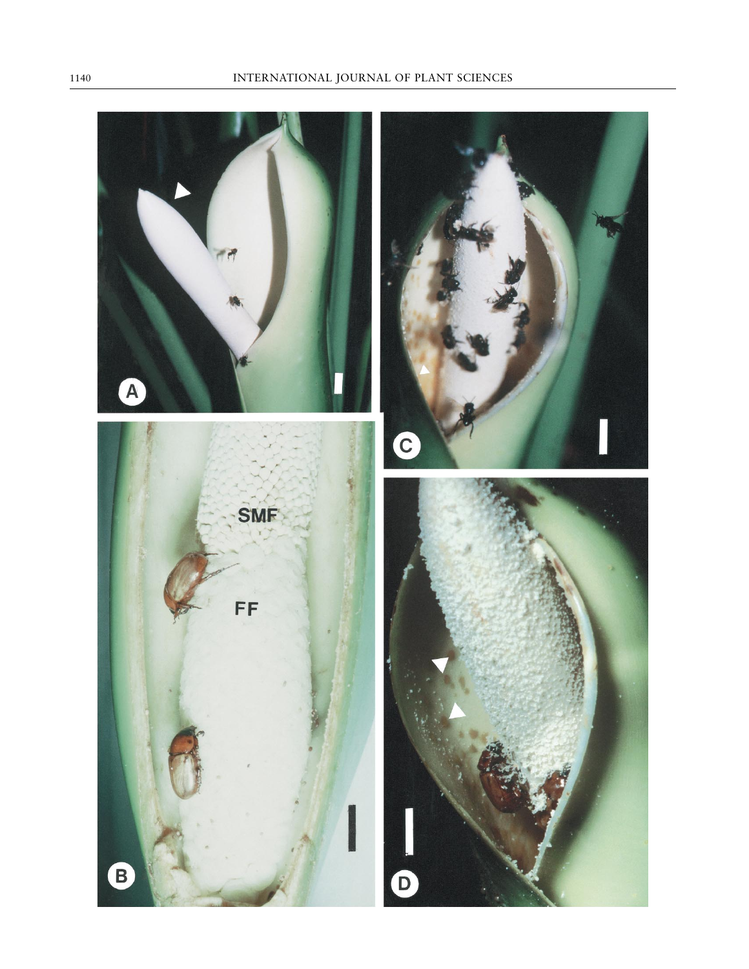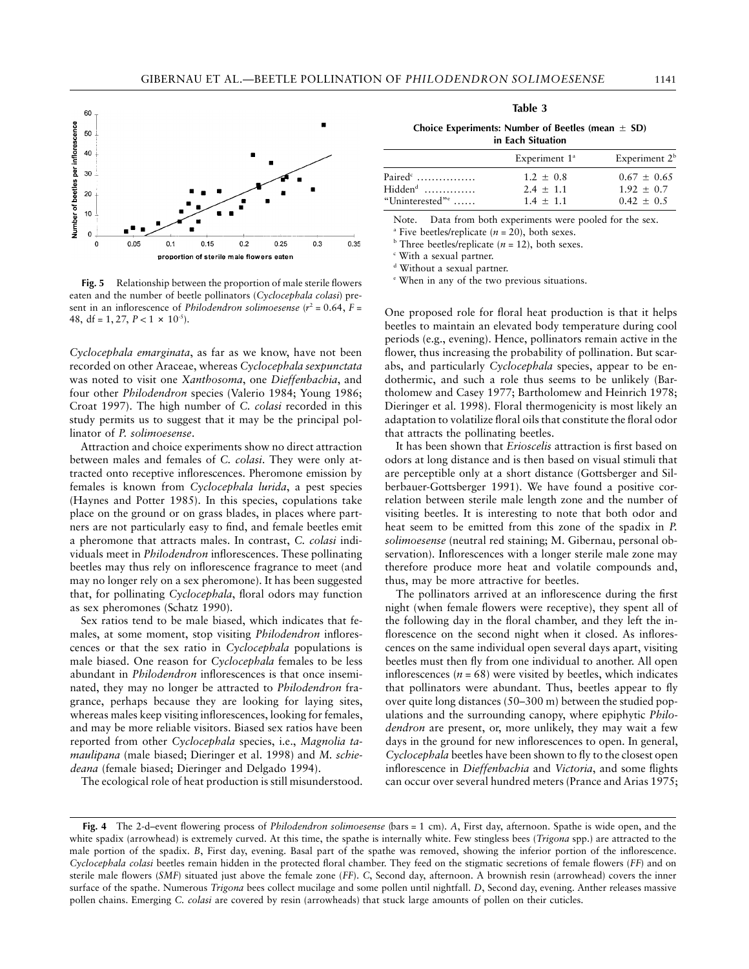

**Fig. 5** Relationship between the proportion of male sterile flowers eaten and the number of beetle pollinators (*Cyclocephala colasi*) present in an inflorescence of *Philodendron* solimoesense  $(r^2 = 0.64, F =$ 48,  $df = 1, 27, P < 1 \times 10^{-5}$ .

*Cyclocephala emarginata*, as far as we know, have not been recorded on other Araceae, whereas *Cyclocephala sexpunctata* was noted to visit one *Xanthosoma*, one *Dieffenbachia*, and four other *Philodendron* species (Valerio 1984; Young 1986; Croat 1997). The high number of *C. colasi* recorded in this study permits us to suggest that it may be the principal pollinator of *P. solimoesense*.

Attraction and choice experiments show no direct attraction between males and females of *C. colasi*. They were only attracted onto receptive inflorescences. Pheromone emission by females is known from *Cyclocephala lurida*, a pest species (Haynes and Potter 1985). In this species, copulations take place on the ground or on grass blades, in places where partners are not particularly easy to find, and female beetles emit a pheromone that attracts males. In contrast, *C. colasi* individuals meet in *Philodendron* inflorescences. These pollinating beetles may thus rely on inflorescence fragrance to meet (and may no longer rely on a sex pheromone). It has been suggested that, for pollinating *Cyclocephala*, floral odors may function as sex pheromones (Schatz 1990).

Sex ratios tend to be male biased, which indicates that females, at some moment, stop visiting *Philodendron* inflorescences or that the sex ratio in *Cyclocephala* populations is male biased. One reason for *Cyclocephala* females to be less abundant in *Philodendron* inflorescences is that once inseminated, they may no longer be attracted to *Philodendron* fragrance, perhaps because they are looking for laying sites, whereas males keep visiting inflorescences, looking for females, and may be more reliable visitors. Biased sex ratios have been reported from other *Cyclocephala* species, i.e., *Magnolia tamaulipana* (male biased; Dieringer et al. 1998) and *M. schiedeana* (female biased; Dieringer and Delgado 1994).

The ecological role of heat production is still misunderstood.

**Table 3**

| Choice Experiments: Number of Beetles (mean $\pm$ SD) |  |  |  |  |  |  |
|-------------------------------------------------------|--|--|--|--|--|--|
| in Each Situation                                     |  |  |  |  |  |  |

|                                      | Experiment $1^a$ | Experiment 2 <sup>b</sup> |
|--------------------------------------|------------------|---------------------------|
| Paired <sup><math>\circ</math></sup> | $1.2 + 0.8$      | $0.67 \pm 0.65$           |
| $Hiddend$                            | $2.4 + 1.1$      | $1.92 + 0.7$              |
| "Uninterested"                       | $1.4 + 1.1$      | $0.42 + 0.5$              |

Note. Data from both experiments were pooled for the sex.

<sup>a</sup> Five beetles/replicate  $(n = 20)$ , both sexes.

 $<sup>b</sup>$  Three beetles/replicate ( $n = 12$ ), both sexes.</sup>

<sup>c</sup> With a sexual partner.

<sup>d</sup> Without a sexual partner.

<sup>e</sup> When in any of the two previous situations.

One proposed role for floral heat production is that it helps beetles to maintain an elevated body temperature during cool periods (e.g., evening). Hence, pollinators remain active in the flower, thus increasing the probability of pollination. But scarabs, and particularly *Cyclocephala* species, appear to be endothermic, and such a role thus seems to be unlikely (Bartholomew and Casey 1977; Bartholomew and Heinrich 1978; Dieringer et al. 1998). Floral thermogenicity is most likely an adaptation to volatilize floral oils that constitute the floral odor that attracts the pollinating beetles.

It has been shown that *Erioscelis* attraction is first based on odors at long distance and is then based on visual stimuli that are perceptible only at a short distance (Gottsberger and Silberbauer-Gottsberger 1991). We have found a positive correlation between sterile male length zone and the number of visiting beetles. It is interesting to note that both odor and heat seem to be emitted from this zone of the spadix in *P. solimoesense* (neutral red staining; M. Gibernau, personal observation). Inflorescences with a longer sterile male zone may therefore produce more heat and volatile compounds and, thus, may be more attractive for beetles.

The pollinators arrived at an inflorescence during the first night (when female flowers were receptive), they spent all of the following day in the floral chamber, and they left the inflorescence on the second night when it closed. As inflorescences on the same individual open several days apart, visiting beetles must then fly from one individual to another. All open inflorescences  $(n = 68)$  were visited by beetles, which indicates that pollinators were abundant. Thus, beetles appear to fly over quite long distances (50–300 m) between the studied populations and the surrounding canopy, where epiphytic *Philodendron* are present, or, more unlikely, they may wait a few days in the ground for new inflorescences to open. In general, *Cyclocephala* beetles have been shown to fly to the closest open inflorescence in *Dieffenbachia* and *Victoria*, and some flights can occur over several hundred meters (Prance and Arias 1975;

**Fig. 4** The 2-d–event flowering process of *Philodendron solimoesense* (bars = 1 cm). *A*, First day, afternoon. Spathe is wide open, and the white spadix (arrowhead) is extremely curved. At this time, the spathe is internally white. Few stingless bees (*Trigona* spp.) are attracted to the male portion of the spadix. *B*, First day, evening. Basal part of the spathe was removed, showing the inferior portion of the inflorescence. *Cyclocephala colasi* beetles remain hidden in the protected floral chamber. They feed on the stigmatic secretions of female flowers (*FF*) and on sterile male flowers (*SMF*) situated just above the female zone (*FF*). *C*, Second day, afternoon. A brownish resin (arrowhead) covers the inner surface of the spathe. Numerous *Trigona* bees collect mucilage and some pollen until nightfall. *D*, Second day, evening. Anther releases massive pollen chains. Emerging *C. colasi* are covered by resin (arrowheads) that stuck large amounts of pollen on their cuticles.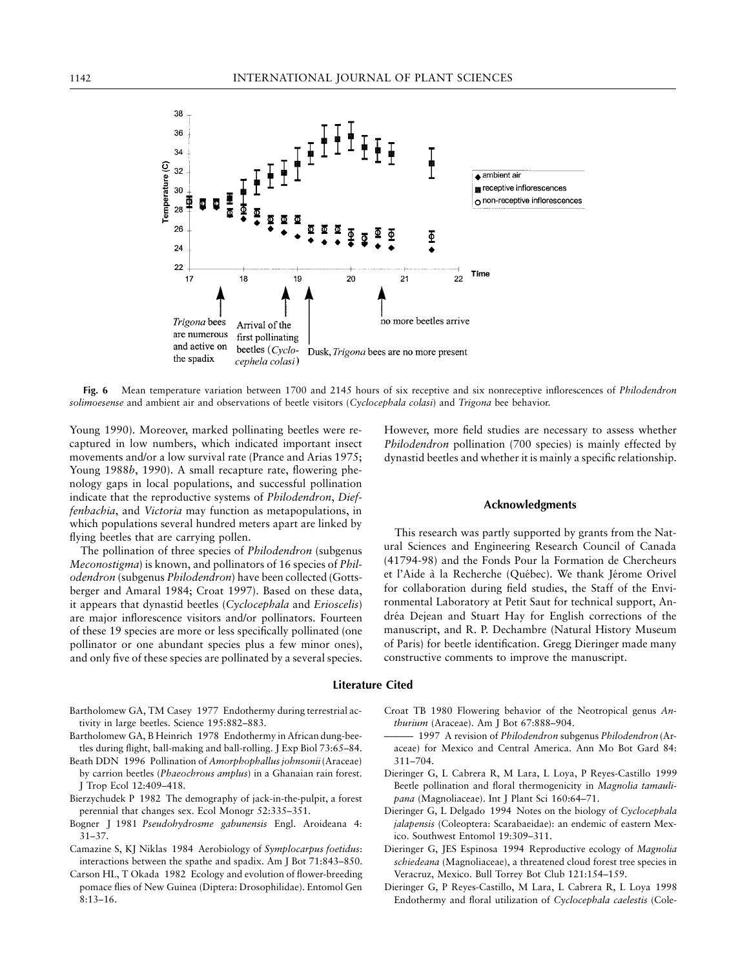

**Fig. 6** Mean temperature variation between 1700 and 2145 hours of six receptive and six nonreceptive inflorescences of *Philodendron solimoesense* and ambient air and observations of beetle visitors (*Cyclocephala colasi*) and *Trigona* bee behavior.

Young 1990). Moreover, marked pollinating beetles were recaptured in low numbers, which indicated important insect movements and/or a low survival rate (Prance and Arias 1975; Young 1988*b*, 1990). A small recapture rate, flowering phenology gaps in local populations, and successful pollination indicate that the reproductive systems of *Philodendron*, *Dieffenbachia*, and *Victoria* may function as metapopulations, in which populations several hundred meters apart are linked by flying beetles that are carrying pollen.

The pollination of three species of *Philodendron* (subgenus *Meconostigma*) is known, and pollinators of 16 species of *Philodendron* (subgenus *Philodendron*) have been collected (Gottsberger and Amaral 1984; Croat 1997). Based on these data, it appears that dynastid beetles (*Cyclocephala* and *Erioscelis*) are major inflorescence visitors and/or pollinators. Fourteen of these 19 species are more or less specifically pollinated (one pollinator or one abundant species plus a few minor ones), and only five of these species are pollinated by a several species. However, more field studies are necessary to assess whether *Philodendron* pollination (700 species) is mainly effected by dynastid beetles and whether it is mainly a specific relationship.

#### **Acknowledgments**

This research was partly supported by grants from the Natural Sciences and Engineering Research Council of Canada (41794-98) and the Fonds Pour la Formation de Chercheurs et l'Aide à la Recherche (Québec). We thank Jérome Orivel for collaboration during field studies, the Staff of the Environmental Laboratory at Petit Saut for technical support, Andréa Dejean and Stuart Hay for English corrections of the manuscript, and R. P. Dechambre (Natural History Museum of Paris) for beetle identification. Gregg Dieringer made many constructive comments to improve the manuscript.

## **Literature Cited**

- Bartholomew GA, TM Casey 1977 Endothermy during terrestrial activity in large beetles. Science 195:882–883.
- Bartholomew GA, B Heinrich 1978 Endothermy in African dung-beetles during flight, ball-making and ball-rolling. J Exp Biol 73:65–84.
- Beath DDN 1996 Pollination of *Amorphophallusjohnsonii*(Araceae) by carrion beetles (*Phaeochrous amplus*) in a Ghanaian rain forest. J Trop Ecol 12:409–418.
- Bierzychudek P 1982 The demography of jack-in-the-pulpit, a forest perennial that changes sex. Ecol Monogr 52:335–351.
- Bogner J 1981 *Pseudohydrosme gabunensis* Engl. Aroideana 4: 31–37.
- Camazine S, KJ Niklas 1984 Aerobiology of *Symplocarpus foetidus*: interactions between the spathe and spadix. Am J Bot 71:843–850.
- Carson HL, T Okada 1982 Ecology and evolution of flower-breeding pomace flies of New Guinea (Diptera: Drosophilidae). Entomol Gen 8:13–16.
- Croat TB 1980 Flowering behavior of the Neotropical genus *Anthurium* (Araceae). Am J Bot 67:888–904.
- ——— 1997 A revision of *Philodendron* subgenus *Philodendron* (Araceae) for Mexico and Central America. Ann Mo Bot Gard 84: 311–704.
- Dieringer G, L Cabrera R, M Lara, L Loya, P Reyes-Castillo 1999 Beetle pollination and floral thermogenicity in *Magnolia tamaulipana* (Magnoliaceae). Int J Plant Sci 160:64–71.
- Dieringer G, L Delgado 1994 Notes on the biology of *Cyclocephala jalapensis* (Coleoptera: Scarabaeidae): an endemic of eastern Mexico. Southwest Entomol 19:309–311.
- Dieringer G, JES Espinosa 1994 Reproductive ecology of *Magnolia schiedeana* (Magnoliaceae), a threatened cloud forest tree species in Veracruz, Mexico. Bull Torrey Bot Club 121:154–159.
- Dieringer G, P Reyes-Castillo, M Lara, L Cabrera R, L Loya 1998 Endothermy and floral utilization of *Cyclocephala caelestis* (Cole-